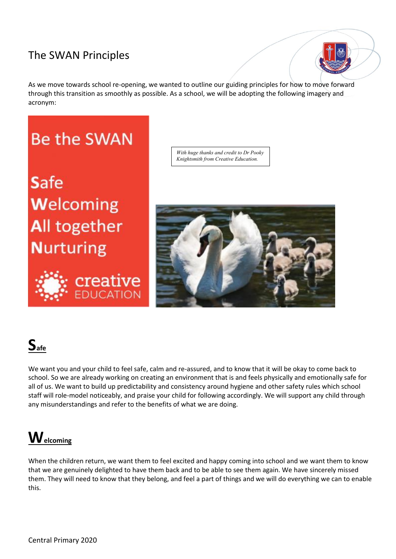#### The SWAN Principles

As we move towards school re-opening, we wanted to outline our guiding principles for how to move forward through this transition as smoothly as possible. As a school, we will be adopting the following imagery and acronym:



Safe Welcoming All together **Nurturing** 



*With huge thanks and credit to Dr Pooky Knightsmith from Creative Education.*



# $S<sub>afe</sub>$

We want you and your child to feel safe, calm and re-assured, and to know that it will be okay to come back to school. So we are already working on creating an environment that is and feels physically and emotionally safe for all of us. We want to build up predictability and consistency around hygiene and other safety rules which school staff will role-model noticeably, and praise your child for following accordingly. We will support any child through any misunderstandings and refer to the benefits of what we are doing.

## **Welcoming**

When the children return, we want them to feel excited and happy coming into school and we want them to know that we are genuinely delighted to have them back and to be able to see them again. We have sincerely missed them. They will need to know that they belong, and feel a part of things and we will do everything we can to enable this.